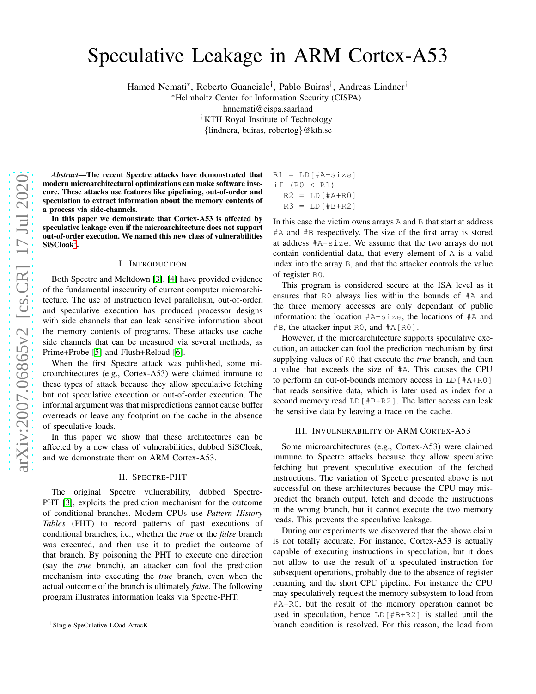# Speculative Leakage in ARM Cortex-A53

Hamed Nemati<sup>∗</sup> , Roberto Guanciale† , Pablo Buiras† , Andreas Lindner†

<sup>∗</sup>Helmholtz Center for Information Security (CISPA) hnnemati@cispa.saarland †KTH Royal Institute of Technology

{lindnera, buiras, robertog}@kth.se

*Abstract*—The recent Spectre attacks have demonstrated that modern microarchitectural optimizations can make software insecure. These attacks use features like pipelining, out-of-order and speculation to extract information about the memory contents of a process via side-channels.

In this paper we demonstrate that Cortex-A53 is affected by speculative leakage even if the microarchitecture does not support out-of-order execution. We named this new class of vulnerabilities  $SiSCloak^1$  $SiSCloak^1$ .

# I. INTRODUCTION

Both Spectre and Meltdown [3], [\[4\]](#page-2-0) have provided evidence of the fundamental insecurity of current computer microarchitecture. The use of instruction level parallelism, out-of-order, and speculative execution has produced processor designs with side channels that can leak sensitive information about the memory contents of programs. These attacks use cache side channels that can be measured via several methods, as Prime+Probe [\[5\]](#page-2-1) and Flush+Reload [\[6\]](#page-2-2).

When the first Spectre attack was published, some microarchitectures (e.g., Cortex-A53) were claimed immune to these types of attack because they allow speculative fetching but not speculative execution or out-of-order execution. The informal argument was that mispredictions cannot cause buffer overreads or leave any footprint on the cache in the absence of speculative loads.

In this paper we show that these architectures can be affected by a new class of vulnerabilities, dubbed SiSCloak, and we demonstrate them on ARM Cortex-A53.

## II. SPECTRE-PHT

The original Spectre vulnerability, dubbed Spectre-PHT [3], exploits the prediction mechanism for the outcome of conditional branches. Modern CPUs use *Pattern History Tables* (PHT) to record patterns of past executions of conditional branches, i.e., whether the *true* or the *false* branch was executed, and then use it to predict the outcome of that branch. By poisoning the PHT to execute one direction (say the *true* branch), an attacker can fool the prediction mechanism into executing the *true* branch, even when the actual outcome of the branch is ultimately *false*. The following program illustrates information leaks via Spectre-PHT:

 $R1 = LD[#A-size]$ if (R0 < R1)  $R2 = LD[#A+R0]$  $R3 = LD[HB+R2]$ 

In this case the victim owns arrays A and B that start at address #A and #B respectively. The size of the first array is stored at address #A-size. We assume that the two arrays do not contain confidential data, that every element of A is a valid index into the array B, and that the attacker controls the value of register R0.

This program is considered secure at the ISA level as it ensures that R0 always lies within the bounds of #A and the three memory accesses are only dependant of public information: the location #A-size, the locations of #A and #B, the attacker input R0, and #A[R0].

However, if the microarchitecture supports speculative execution, an attacker can fool the prediction mechanism by first supplying values of R0 that execute the *true* branch, and then a value that exceeds the size of #A. This causes the CPU to perform an out-of-bounds memory access in LD[#A+R0] that reads sensitive data, which is later used as index for a second memory read LD [#B+R2]. The latter access can leak the sensitive data by leaving a trace on the cache.

# III. INVULNERABILITY OF ARM CORTEX-A53

Some microarchitectures (e.g., Cortex-A53) were claimed immune to Spectre attacks because they allow speculative fetching but prevent speculative execution of the fetched instructions. The variation of Spectre presented above is not successful on these architectures because the CPU may mispredict the branch output, fetch and decode the instructions in the wrong branch, but it cannot execute the two memory reads. This prevents the speculative leakage.

During our experiments we discovered that the above claim is not totally accurate. For instance, Cortex-A53 is actually capable of executing instructions in speculation, but it does not allow to use the result of a speculated instruction for subsequent operations, probably due to the absence of register renaming and the short CPU pipeline. For instance the CPU may speculatively request the memory subsystem to load from #A+R0, but the result of the memory operation cannot be used in speculation, hence LD[#B+R2] is stalled until the branch condition is resolved. For this reason, the load from

<span id="page-0-0"></span><sup>&</sup>lt;sup>1</sup>SIngle SpeCulative LOad AttacK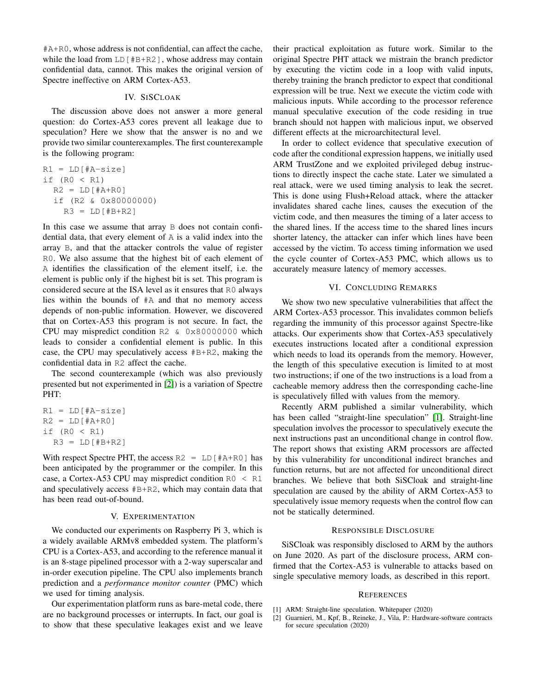#A+R0, whose address is not confidential, can affect the cache, while the load from  $LD$  [#B+R2], whose address may contain confidential data, cannot. This makes the original version of Spectre ineffective on ARM Cortex-A53.

# IV. SISCLOAK

The discussion above does not answer a more general question: do Cortex-A53 cores prevent all leakage due to speculation? Here we show that the answer is no and we provide two similar counterexamples. The first counterexample is the following program:

$$
R1 = LD[#A-size]
$$
  
if (R0 < R1)  

$$
R2 = LD[#A+R0]
$$
  
if (R2 & 0x80000000)  

$$
R3 = LD[#B+R2]
$$

In this case we assume that array B does not contain confidential data, that every element of A is a valid index into the array B, and that the attacker controls the value of register R0. We also assume that the highest bit of each element of A identifies the classification of the element itself, i.e. the element is public only if the highest bit is set. This program is considered secure at the ISA level as it ensures that R0 always lies within the bounds of #A and that no memory access depends of non-public information. However, we discovered that on Cortex-A53 this program is not secure. In fact, the CPU may mispredict condition R2 & 0x80000000 which leads to consider a confidential element is public. In this case, the CPU may speculatively access #B+R2, making the confidential data in R2 affect the cache.

The second counterexample (which was also previously presented but not experimented in [\[2\]](#page-1-0)) is a variation of Spectre PHT:

```
R1 = LD[#A-size]R2 = LD[#A+R0]if (R0 < R1)
R3 = LD[HB+R2]
```
With respect Spectre PHT, the access  $R2 = LD[#A+RO]$  has been anticipated by the programmer or the compiler. In this case, a Cortex-A53 CPU may mispredict condition  $R_0 < R_1$ and speculatively access #B+R2, which may contain data that has been read out-of-bound.

### V. EXPERIMENTATION

We conducted our experiments on Raspberry Pi 3, which is a widely available ARMv8 embedded system. The platform's CPU is a Cortex-A53, and according to the reference manual it is an 8-stage pipelined processor with a 2-way superscalar and in-order execution pipeline. The CPU also implements branch prediction and a *performance monitor counter* (PMC) which we used for timing analysis.

Our experimentation platform runs as bare-metal code, there are no background processes or interrupts. In fact, our goal is to show that these speculative leakages exist and we leave

their practical exploitation as future work. Similar to the original Spectre PHT attack we mistrain the branch predictor by executing the victim code in a loop with valid inputs, thereby training the branch predictor to expect that conditional expression will be true. Next we execute the victim code with malicious inputs. While according to the processor reference manual speculative execution of the code residing in true branch should not happen with malicious input, we observed different effects at the microarchitectural level.

In order to collect evidence that speculative execution of code after the conditional expression happens, we initially used ARM TrustZone and we exploited privileged debug instructions to directly inspect the cache state. Later we simulated a real attack, were we used timing analysis to leak the secret. This is done using Flush+Reload attack, where the attacker invalidates shared cache lines, causes the execution of the victim code, and then measures the timing of a later access to the shared lines. If the access time to the shared lines incurs shorter latency, the attacker can infer which lines have been accessed by the victim. To access timing information we used the cycle counter of Cortex-A53 PMC, which allows us to accurately measure latency of memory accesses.

## VI. CONCLUDING REMARKS

We show two new speculative vulnerabilities that affect the ARM Cortex-A53 processor. This invalidates common beliefs regarding the immunity of this processor against Spectre-like attacks. Our experiments show that Cortex-A53 speculatively executes instructions located after a conditional expression which needs to load its operands from the memory. However, the length of this speculative execution is limited to at most two instructions; if one of the two instructions is a load from a cacheable memory address then the corresponding cache-line is speculatively filled with values from the memory.

Recently ARM published a similar vulnerability, which has been called "straight-line speculation" [\[1\]](#page-1-1). Straight-line speculation involves the processor to speculatively execute the next instructions past an unconditional change in control flow. The report shows that existing ARM processors are affected by this vulnerability for unconditional indirect branches and function returns, but are not affected for unconditional direct branches. We believe that both SiSCloak and straight-line speculation are caused by the ability of ARM Cortex-A53 to speculatively issue memory requests when the control flow can not be statically determined.

# RESPONSIBLE DISCLOSURE

SiSCloak was responsibly disclosed to ARM by the authors on June 2020. As part of the disclosure process, ARM confirmed that the Cortex-A53 is vulnerable to attacks based on single speculative memory loads, as described in this report.

## **REFERENCES**

- <span id="page-1-1"></span><span id="page-1-0"></span>[1] ARM: Straight-line speculation. Whitepaper (2020)
- [2] Guarnieri, M., Kpf, B., Reineke, J., Vila, P.: Hardware-software contracts for secure speculation (2020)